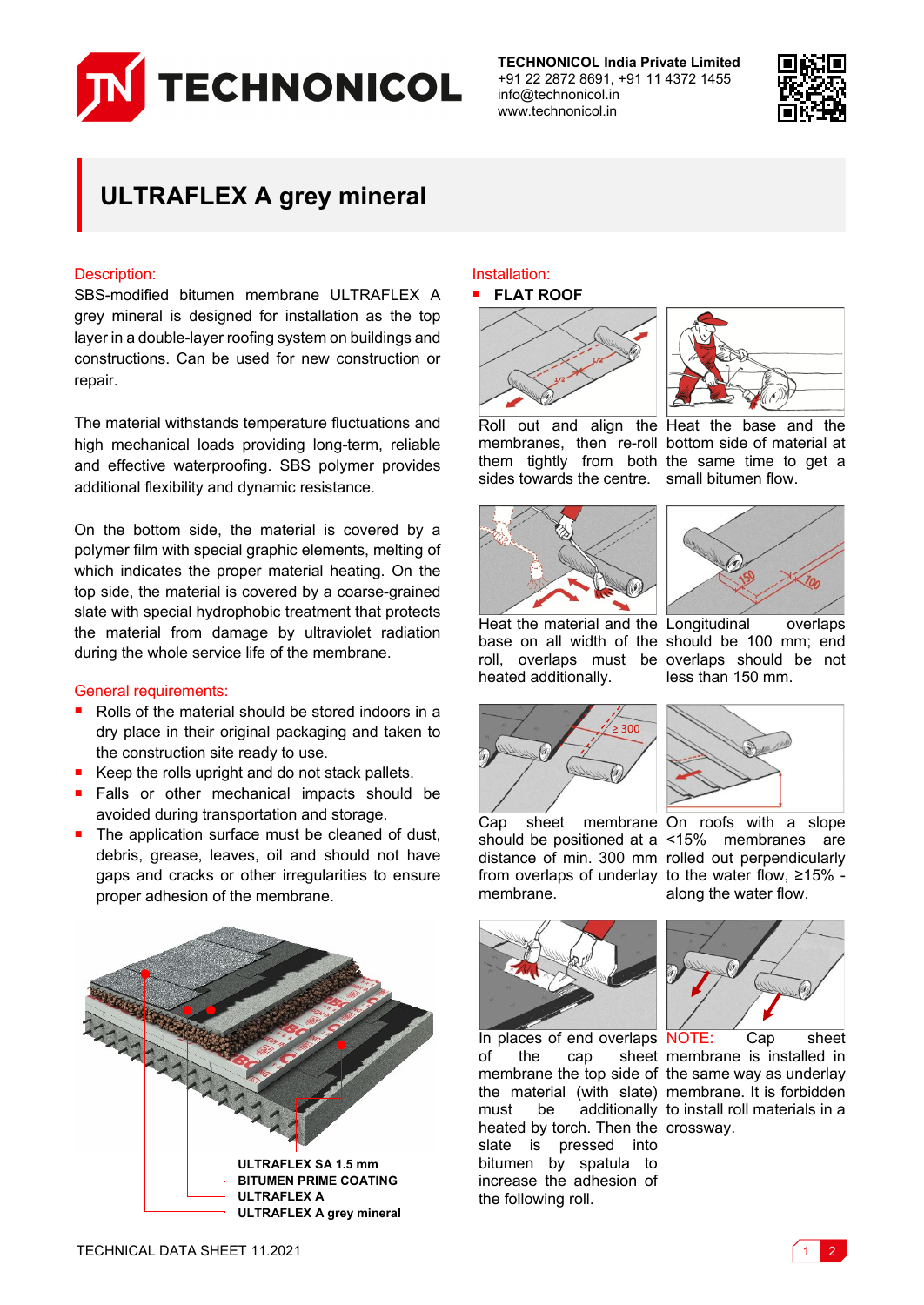

**TECHNONICOL India Private Limited** +91 22 2872 8691, +91 11 4372 1455 info@technonicol.in www.technonicol.in



# **ULTRAFLEX A grey mineral**

## Description:

SBS-modified bitumen membrane ULTRAFLEX A grey mineral is designed for installation as the top layer in a double-layer roofing system on buildings and constructions. Can be used for new construction or repair.

The material withstands temperature fluctuations and high mechanical loads providing long-term, reliable and effective waterproofing. SBS polymer provides additional flexibility and dynamic resistance.

On the bottom side, the material is covered by a polymer film with special graphic elements, melting of which indicates the proper material heating. On the top side, the material is covered by a coarse-grained slate with special hydrophobic treatment that protects the material from damage by ultraviolet radiation during the whole service life of the membrane.

## General requirements:

- Rolls of the material should be stored indoors in a dry place in their original packaging and taken to the construction site ready to use.
- Keep the rolls upright and do not stack pallets.
- Falls or other mechanical impacts should be avoided during transportation and storage.
- The application surface must be cleaned of dust, debris, grease, leaves, oil and should not have gaps and cracks or other irregularities to ensure proper adhesion of the membrane.



#### Installation: **FLAT ROOF**





Roll out and align the Heat the base and the membranes, then re-roll bottom side of material at them tightly from both the same time to get a sides towards the centre. small bitumen flow.





Heat the material and the Longitudinal overlaps base on all width of the should be 100 mm; end roll, overlaps must be overlaps should be not heated additionally.





less than 150 mm.

Cap sheet membrane On roofs with a slope should be positioned at a <15% membranes are distance of min. 300 mm rolled out perpendicularly from overlaps of underlay to the water flow, ≥15% membrane.



heated by torch. Then the crossway. slate is pressed into bitumen by spatula to increase the adhesion of the following roll.



along the water flow.

In places of end overlaps NOTE: Cap sheet of the cap sheet membrane is installed in membrane the top side of the same way as underlay the material (with slate) membrane. It is forbidden must be additionally to install roll materials in a